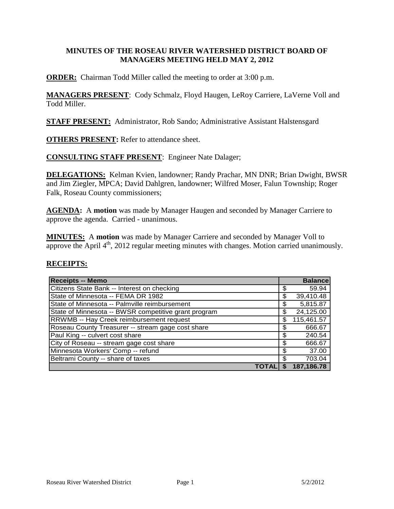### **MINUTES OF THE ROSEAU RIVER WATERSHED DISTRICT BOARD OF MANAGERS MEETING HELD MAY 2, 2012**

**ORDER:** Chairman Todd Miller called the meeting to order at 3:00 p.m.

**MANAGERS PRESENT**: Cody Schmalz, Floyd Haugen, LeRoy Carriere, LaVerne Voll and Todd Miller.

**STAFF PRESENT:** Administrator, Rob Sando; Administrative Assistant Halstensgard

**OTHERS PRESENT:** Refer to attendance sheet.

**CONSULTING STAFF PRESENT**: Engineer Nate Dalager;

**DELEGATIONS:** Kelman Kvien, landowner; Randy Prachar, MN DNR; Brian Dwight, BWSR and Jim Ziegler, MPCA; David Dahlgren, landowner; Wilfred Moser, Falun Township; Roger Falk, Roseau County commissioners;

**AGENDA:** A **motion** was made by Manager Haugen and seconded by Manager Carriere to approve the agenda. Carried - unanimous.

**MINUTES:** A **motion** was made by Manager Carriere and seconded by Manager Voll to approve the April  $4<sup>th</sup>$ , 2012 regular meeting minutes with changes. Motion carried unanimously.

#### **RECEIPTS:**

| <b>Receipts -- Memo</b>                              |            | <b>Balance</b> |
|------------------------------------------------------|------------|----------------|
| Citizens State Bank -- Interest on checking          | \$         | 59.94          |
| State of Minnesota -- FEMA DR 1982                   | \$         | 39,410.48      |
| State of Minnesota -- Palmville reimbursement        | \$         | 5,815.87       |
| State of Minnesota -- BWSR competitive grant program | \$         | 24,125.00      |
| <b>RRWMB -- Hay Creek reimbursement request</b>      | \$         | 115,461.57     |
| Roseau County Treasurer -- stream gage cost share    | \$         | 666.67         |
| Paul King -- culvert cost share                      | \$         | 240.54         |
| City of Roseau -- stream gage cost share             | \$.        | 666.67         |
| Minnesota Workers' Comp -- refund                    | \$         | 37.00          |
| Beltrami County -- share of taxes                    | \$         | 703.04         |
|                                                      | S<br>TOTAL | 187,186.78     |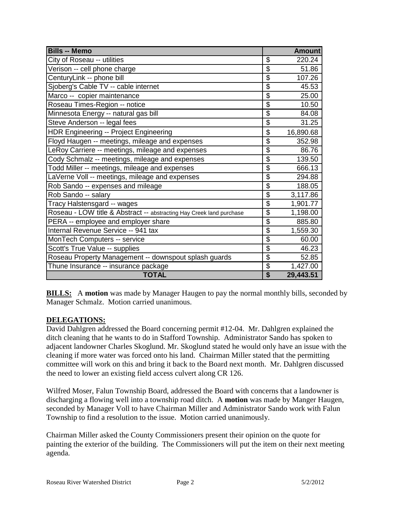| <b>Bills -- Memo</b>                                                 |                           | <b>Amount</b> |
|----------------------------------------------------------------------|---------------------------|---------------|
| City of Roseau -- utilities                                          | \$                        | 220.24        |
| Verison -- cell phone charge                                         | $\overline{\mathcal{G}}$  | 51.86         |
| CenturyLink -- phone bill                                            | \$                        | 107.26        |
| Sjoberg's Cable TV -- cable internet                                 | $\overline{\mathbf{S}}$   | 45.53         |
| Marco -- copier maintenance                                          | $\overline{\$}$           | 25.00         |
| Roseau Times-Region -- notice                                        | \$                        | 10.50         |
| Minnesota Energy -- natural gas bill                                 | \$                        | 84.08         |
| Steve Anderson -- legal fees                                         | \$                        | 31.25         |
| <b>HDR Engineering -- Project Engineering</b>                        | \$                        | 16,890.68     |
| Floyd Haugen -- meetings, mileage and expenses                       | \$                        | 352.98        |
| LeRoy Carriere -- meetings, mileage and expenses                     | $\overline{\mathcal{S}}$  | 86.76         |
| Cody Schmalz -- meetings, mileage and expenses                       | $\overline{\$}$           | 139.50        |
| Todd Miller -- meetings, mileage and expenses                        | $\overline{\mathcal{S}}$  | 666.13        |
| LaVerne Voll -- meetings, mileage and expenses                       | $\overline{\mathbf{S}}$   | 294.88        |
| Rob Sando -- expenses and mileage                                    | $\overline{\mathbf{S}}$   | 188.05        |
| Rob Sando -- salary                                                  | \$                        | 3,117.86      |
| Tracy Halstensgard -- wages                                          | \$                        | 1,901.77      |
| Roseau - LOW title & Abstract -- abstracting Hay Creek land purchase | \$                        | 1,198.00      |
| PERA -- employee and employer share                                  | \$                        | 885.80        |
| Internal Revenue Service -- 941 tax                                  | $\overline{\mathfrak{s}}$ | 1,559.30      |
| MonTech Computers -- service                                         | \$                        | 60.00         |
| Scott's True Value -- supplies                                       | \$                        | 46.23         |
| Roseau Property Management -- downspout splash guards                | $\overline{\mathcal{G}}$  | 52.85         |
| Thune Insurance -- insurance package                                 | \$                        | 1,427.00      |
| <b>TOTAL</b>                                                         | \$                        | 29,443.51     |

**BILLS:** A motion was made by Manager Haugen to pay the normal monthly bills, seconded by Manager Schmalz. Motion carried unanimous.

# **DELEGATIONS:**

David Dahlgren addressed the Board concerning permit #12-04. Mr. Dahlgren explained the ditch cleaning that he wants to do in Stafford Township. Administrator Sando has spoken to adjacent landowner Charles Skoglund. Mr. Skoglund stated he would only have an issue with the cleaning if more water was forced onto his land. Chairman Miller stated that the permitting committee will work on this and bring it back to the Board next month. Mr. Dahlgren discussed the need to lower an existing field access culvert along CR 126.

Wilfred Moser, Falun Township Board, addressed the Board with concerns that a landowner is discharging a flowing well into a township road ditch. A **motion** was made by Manger Haugen, seconded by Manager Voll to have Chairman Miller and Administrator Sando work with Falun Township to find a resolution to the issue. Motion carried unanimously.

Chairman Miller asked the County Commissioners present their opinion on the quote for painting the exterior of the building. The Commissioners will put the item on their next meeting agenda.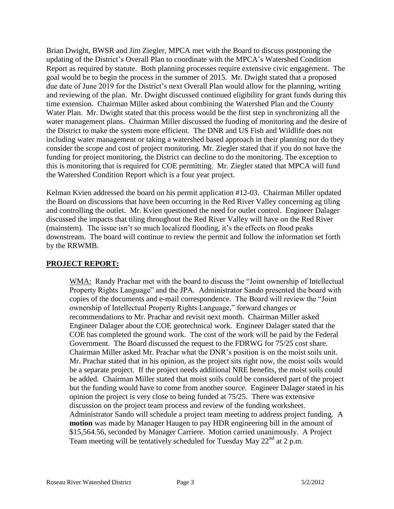Brian Dwight, BWSR and Jim Ziegler, MPCA met with the Board to discuss postponing the updating of the District's Overall Plan to coordinate with the MPCA's Watershed Condition Report as required by statute. Both planning processes require extensive civic engagement. The goal would be to begin the process in the summer of 2015. Mr. Dwight stated that a proposed due date of June 2019 for the District's next Overall Plan would allow for the planning, writing and reviewing of the plan. Mr. Dwight discussed continued eligibility for grant funds during this time extension. Chairman Miller asked about combining the Watershed Plan and the County Water Plan. Mr. Dwight stated that this process would be the first step in synchronizing all the water management plans. Chairman Miller discussed the funding of monitoring and the desire of the District to make the system more efficient. The DNR and US Fish and Wildlife does not including water management or taking a watershed based approach in their planning nor do they consider the scope and cost of project monitoring. Mr. Ziegler stated that if you do not have the funding for project monitoring, the District can decline to do the monitoring. The exception to this is monitoring that is required for COE permitting. Mr. Ziegler stated that MPCA will fund the Watershed Condition Report which is a four year project.

Kelman Kvien addressed the board on his permit application #12-03. Chairman Miller updated the Board on discussions that have been occurring in the Red River Valley concerning ag tiling and controlling the outlet. Mr. Kvien questioned the need for outlet control. Engineer Dalager discussed the impacts that tiling throughout the Red River Valley will have on the Red River (mainstem). The issue isn't so much localized flooding, it's the effects on flood peaks downstream. The board will continue to review the permit and follow the information set forth by the RRWMB.

# **PROJECT REPORT:**

WMA: Randy Prachar met with the board to discuss the "Joint ownership of Intellectual Property Rights Language" and the JPA. Administrator Sando presented the board with copies of the documents and e-mail correspondence. The Board will review the "Joint ownership of Intellectual Property Rights Language," forward changes or recommendations to Mr. Prachar and revisit next month. Chairman Miller asked Engineer Dalager about the COE geotechnical work. Engineer Dalager stated that the COE has completed the ground work. The cost of the work will be paid by the Federal Government. The Board discussed the request to the FDRWG for 75/25 cost share. Chairman Miller asked Mr. Prachar what the DNR's position is on the moist soils unit. Mr. Prachar stated that in his opinion, as the project sits right now, the moist soils would be a separate project. If the project needs additional NRE benefits, the moist soils could be added. Chairman Miller stated that moist soils could be considered part of the project but the funding would have to come from another source. Engineer Dalager stated in his opinion the project is very close to being funded at 75/25. There was extensive discussion on the project team process and review of the funding worksheet. Administrator Sando will schedule a project team meeting to address project funding. A **motion** was made by Manager Haugen to pay HDR engineering bill in the amount of \$15,564.56, seconded by Manager Carriere. Motion carried unanimously. A Project Team meeting will be tentatively scheduled for Tuesday May 22<sup>nd</sup> at 2 p.m.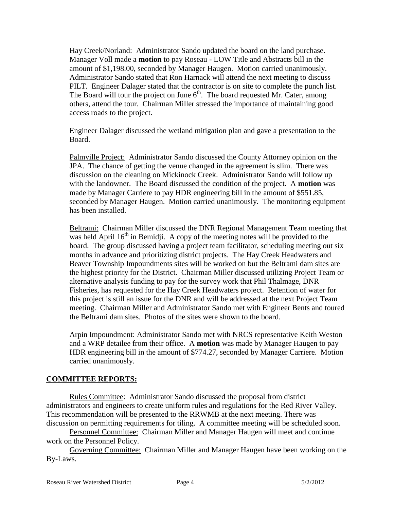Hay Creek/Norland: Administrator Sando updated the board on the land purchase. Manager Voll made a **motion** to pay Roseau - LOW Title and Abstracts bill in the amount of \$1,198.00, seconded by Manager Haugen. Motion carried unanimously. Administrator Sando stated that Ron Harnack will attend the next meeting to discuss PILT. Engineer Dalager stated that the contractor is on site to complete the punch list. The Board will tour the project on June  $6<sup>th</sup>$ . The board requested Mr. Cater, among others, attend the tour. Chairman Miller stressed the importance of maintaining good access roads to the project.

Engineer Dalager discussed the wetland mitigation plan and gave a presentation to the Board.

Palmville Project: Administrator Sando discussed the County Attorney opinion on the JPA. The chance of getting the venue changed in the agreement is slim. There was discussion on the cleaning on Mickinock Creek. Administrator Sando will follow up with the landowner. The Board discussed the condition of the project. A **motion** was made by Manager Carriere to pay HDR engineering bill in the amount of \$551.85, seconded by Manager Haugen. Motion carried unanimously. The monitoring equipment has been installed.

Beltrami: Chairman Miller discussed the DNR Regional Management Team meeting that was held April  $16<sup>th</sup>$  in Bemidji. A copy of the meeting notes will be provided to the board. The group discussed having a project team facilitator, scheduling meeting out six months in advance and prioritizing district projects. The Hay Creek Headwaters and Beaver Township Impoundments sites will be worked on but the Beltrami dam sites are the highest priority for the District. Chairman Miller discussed utilizing Project Team or alternative analysis funding to pay for the survey work that Phil Thalmage, DNR Fisheries, has requested for the Hay Creek Headwaters project. Retention of water for this project is still an issue for the DNR and will be addressed at the next Project Team meeting. Chairman Miller and Administrator Sando met with Engineer Bents and toured the Beltrami dam sites. Photos of the sites were shown to the board.

Arpin Impoundment: Administrator Sando met with NRCS representative Keith Weston and a WRP detailee from their office. A **motion** was made by Manager Haugen to pay HDR engineering bill in the amount of \$774.27, seconded by Manager Carriere. Motion carried unanimously.

#### **COMMITTEE REPORTS:**

Rules Committee: Administrator Sando discussed the proposal from district administrators and engineers to create uniform rules and regulations for the Red River Valley. This recommendation will be presented to the RRWMB at the next meeting. There was discussion on permitting requirements for tiling. A committee meeting will be scheduled soon.

Personnel Committee: Chairman Miller and Manager Haugen will meet and continue work on the Personnel Policy.

Governing Committee: Chairman Miller and Manager Haugen have been working on the By-Laws.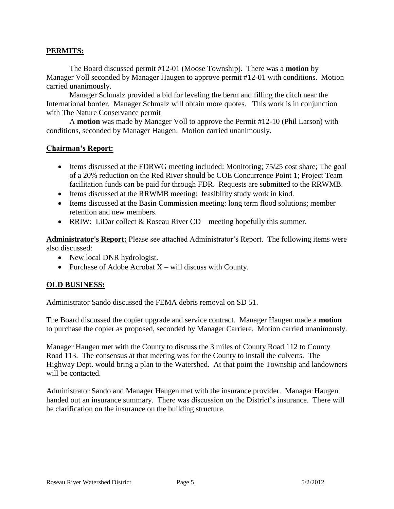### **PERMITS:**

The Board discussed permit #12-01 (Moose Township). There was a **motion** by Manager Voll seconded by Manager Haugen to approve permit #12-01 with conditions. Motion carried unanimously.

Manager Schmalz provided a bid for leveling the berm and filling the ditch near the International border. Manager Schmalz will obtain more quotes. This work is in conjunction with The Nature Conservance permit

A **motion** was made by Manager Voll to approve the Permit #12-10 (Phil Larson) with conditions, seconded by Manager Haugen. Motion carried unanimously.

#### **Chairman's Report:**

- Items discussed at the FDRWG meeting included: Monitoring; 75/25 cost share; The goal of a 20% reduction on the Red River should be COE Concurrence Point 1; Project Team facilitation funds can be paid for through FDR. Requests are submitted to the RRWMB.
- Items discussed at the RRWMB meeting: feasibility study work in kind.
- Items discussed at the Basin Commission meeting: long term flood solutions; member retention and new members.
- RRIW: LiDar collect  $&$  Roseau River CD meeting hopefully this summer.

**Administrator's Report:** Please see attached Administrator's Report. The following items were also discussed:

- New local DNR hydrologist.
- Purchase of Adobe Acrobat  $X$  will discuss with County.

# **OLD BUSINESS:**

Administrator Sando discussed the FEMA debris removal on SD 51.

The Board discussed the copier upgrade and service contract. Manager Haugen made a **motion** to purchase the copier as proposed, seconded by Manager Carriere. Motion carried unanimously.

Manager Haugen met with the County to discuss the 3 miles of County Road 112 to County Road 113. The consensus at that meeting was for the County to install the culverts. The Highway Dept. would bring a plan to the Watershed. At that point the Township and landowners will be contacted.

Administrator Sando and Manager Haugen met with the insurance provider. Manager Haugen handed out an insurance summary. There was discussion on the District's insurance. There will be clarification on the insurance on the building structure.